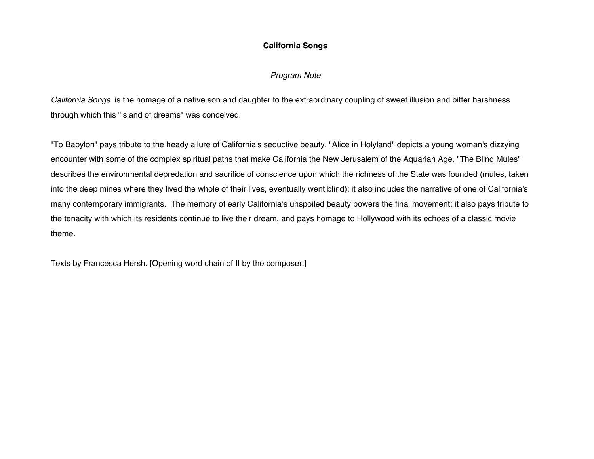# **California Songs**

# *Program Note*

*California Songs* is the homage of a native son and daughter to the extraordinary coupling of sweet illusion and bitter harshness through which this "island of dreams" was conceived.

"To Babylon" pays tribute to the heady allure of California's seductive beauty. "Alice in Holyland" depicts a young woman's dizzying encounter with some of the complex spiritual paths that make California the New Jerusalem of the Aquarian Age. "The Blind Mules" describes the environmental depredation and sacrifice of conscience upon which the richness of the State was founded (mules, taken into the deep mines where they lived the whole of their lives, eventually went blind); it also includes the narrative of one of California's many contemporary immigrants. The memory of early California's unspoiled beauty powers the final movement; it also pays tribute to the tenacity with which its residents continue to live their dream, and pays homage to Hollywood with its echoes of a classic movie theme.

Texts by Francesca Hersh. [Opening word chain of II by the composer.]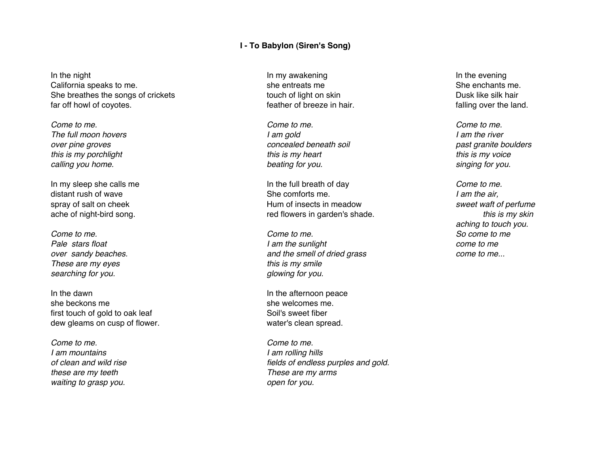### **I - To Babylon (Siren's Song)**

In the night In the evening In the evening In the evening In the evening California speaks to me. She she entreats me She entreats me She enchants me. She breathes the songs of crickets to the stouch of light on skin The breathes the silk hair Dusk like silk hair far off howl of coyotes. The same of the land is the land of the land over the land.

*These are my eyes this is my smile searching for you. glowing for you.*

In the dawn **In the dawn** In the afternoon peace she beckons me she welcomes me. first touch of gold to oak leaf Soil's sweet fiber dew gleams on cusp of flower. The state of the water's clean spread.

*Come to me. Come to me. I am mountains I am rolling hills these are my teeth These are my arms waiting to grasp you. open for you.*

*Come to me. Come to me. Come to me. The full moon hovers I am gold I am the river over pine groves concealed beneath soil past granite boulders this is my porchlight this is my heart this is my voice calling you home. beating for you. singing for you.*

In my sleep she calls me **In the full breath of day** *Come to me.* distant rush of wave She comforts me. *I am the air,* spray of salt on cheek **heat in the spray of salt of perfume** Hum of insects in meadow *sweet waft of perfume* ache of night-bird song. This is my skin and the set of the red flowers in garden's shade. **the set of the set of the set of the set of the set of the set of the set of the set of the set of the set of the set of the set o** 

*Come to me. Come to me. So come to me Pale stars float I am the sunlight come to me over sandy beaches. and the smell of dried grass come to me...*

*of clean and wild rise fields of endless purples and gold.*

*aching to touch you.*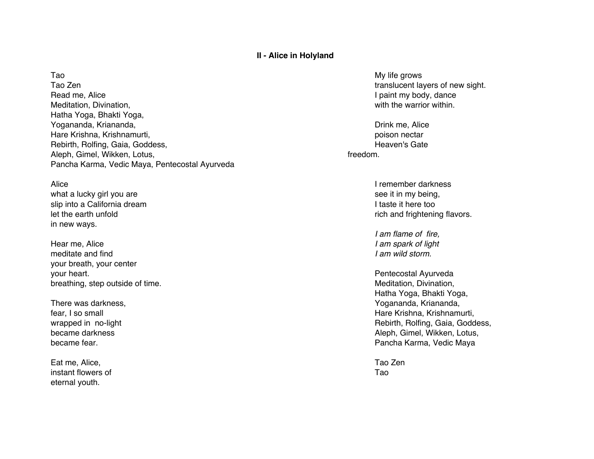## **II - Alice in Holyland**

Tao Zen translucent layers of new sight.<br>
Read me. Alice stranslucent layers of new sight.<br>
I paint my body, dance Meditation, Divination, with the warrior within. Hatha Yoga, Bhakti Yoga, Yogananda, Kriananda, Nashrida, Drink me, Alice and Drink me, Alice and Drink me, Alice and Drink me, Alice and Drink me, Alice and Drink me, Alice and Drink me, Alice and Drink me, Alice and Drink me, Alice and Drink me, Hare Krishna, Krishnamurti, poison nectar and the state of the state of the state of the poison nectar poison nectar Rebirth, Rolfing, Gaia, Goddess, North Communications of the Communication of the Heaven's Gate Aleph, Gimel, Wikken, Lotus, freedom. Pancha Karma, Vedic Maya, Pentecostal Ayurveda

what a lucky girl you are see it in my being, slip into a California dream **I has a community of the Community** of the too into a California dream I taste it here too in new ways.

Hear me, Alice *I am spark of light* meditate and find *I am wild storm.* your breath, your center your heart. **Pentecostal Ayurveda** and the set of the set of the set of the set of the set of the set of the set of the set of the set of the set of the set of the set of the set of the set of the set of the set of the set breathing, step outside of time. Meditation, Divination, Divination, Divination, Divination, Divination,  $\blacksquare$ 

Eat me, Alice, Tao Zen instant flowers of Tao and Tao and Tao and Tao and Tao and Tao and Tao and Tao and Tao and Tao and Tao and Tao eternal youth.

Tao 1988 - My life grows that the state of the state of the state of the state of the state of the state of the state of the state of the state of the state of the state of the state of the state of the state of the state I paint my body, dance

Alice **I** remember darkness let the earth unfold **rich and frightening flavors**.

*I am flame of fire,*

Hatha Yoga, Bhakti Yoga, There was darkness, There was darkness,  $Y$ fear, I so small Hare Krishna, Krishnamurti, wrapped in no-light and the state of the state of the Rebirth, Rolfing, Gaia, Goddess, became darkness **Aleph, Gimel, Wikken, Lotus,** Aleph, Gimel, Wikken, Lotus, became fear. **Pancha Karma, Vedic Maya Pancha Karma, Vedic Maya**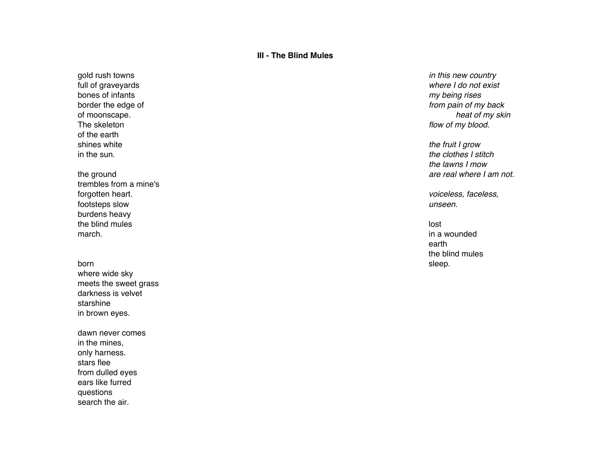# **III - The Blind Mules**

The skeleton *flow of my blood.* of the earth<br>shines white

trembles from a mine's forgotten heart. *voiceless, faceless,* footsteps slow *unseen.* burdens heavy the blind mules and the blind mules are the blind mules and the blind mules are the blind mules and the blind mules march. In a wounded was a set of the contract of the contract of the contract of the contract of the contract of the contract of the contract of the contract of the contract of the contract of the contract of the contract

born sleep. The sleep of the sleep of the sleep of the sleep of the sleep of the sleep. where wide sky meets the sweet grass darkness is velvet starshine in brown eyes.

dawn never comes in the mines, only harness. stars flee from dulled eyes ears like furred questions search the air.

gold rush towns *in this new country* full of graveyards *where I do not exist*  $my$  being rises border the edge of *from pain of my back* of moonscape. *heat of my skin*

the fruit I grow in the sun. *the clothes I stitch the lawns I mow* the ground *are real where I am not.*

earth the blind mules